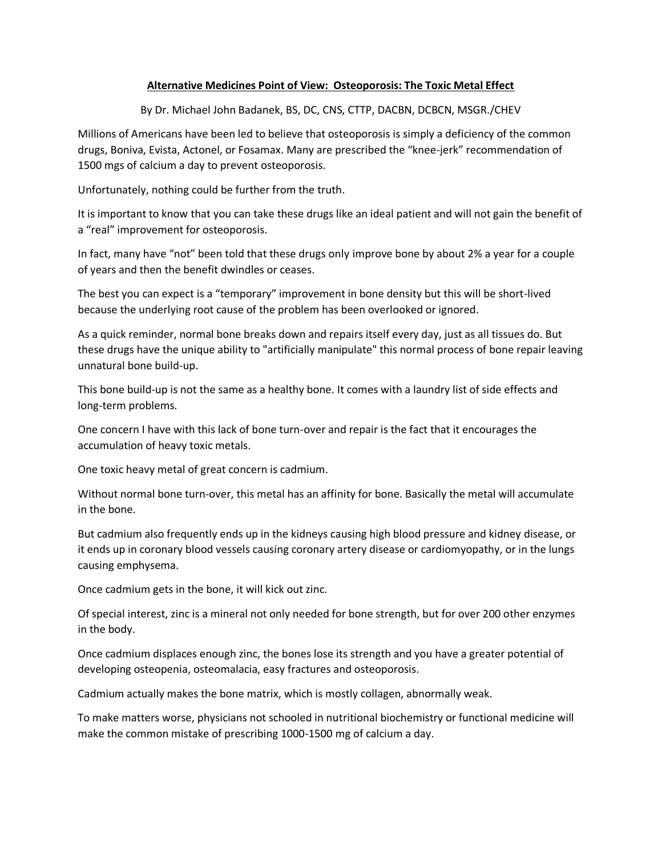## **Alternative Medicines Point of View: Osteoporosis: The Toxic Metal Effect**

By Dr. Michael John Badanek, BS, DC, CNS, CTTP, DACBN, DCBCN, MSGR./CHEV

Millions of Americans have been led to believe that osteoporosis is simply a deficiency of the common drugs, Boniva, Evista, Actonel, or Fosamax. Many are prescribed the "knee-jerk" recommendation of 1500 mgs of calcium a day to prevent osteoporosis.

Unfortunately, nothing could be further from the truth.

It is important to know that you can take these drugs like an ideal patient and will not gain the benefit of a "real" improvement for osteoporosis.

In fact, many have "not" been told that these drugs only improve bone by about 2% a year for a couple of years and then the benefit dwindles or ceases.

The best you can expect is a "temporary" improvement in bone density but this will be short-lived because the underlying root cause of the problem has been overlooked or ignored.

As a quick reminder, normal bone breaks down and repairs itself every day, just as all tissues do. But these drugs have the unique ability to "artificially manipulate" this normal process of bone repair leaving unnatural bone build-up.

This bone build-up is not the same as a healthy bone. It comes with a laundry list of side effects and long-term problems.

One concern I have with this lack of bone turn-over and repair is the fact that it encourages the accumulation of heavy toxic metals.

One toxic heavy metal of great concern is cadmium.

Without normal bone turn-over, this metal has an affinity for bone. Basically the metal will accumulate in the bone.

But cadmium also frequently ends up in the kidneys causing high blood pressure and kidney disease, or it ends up in coronary blood vessels causing coronary artery disease or cardiomyopathy, or in the lungs causing emphysema.

Once cadmium gets in the bone, it will kick out zinc.

Of special interest, zinc is a mineral not only needed for bone strength, but for over 200 other enzymes in the body.

Once cadmium displaces enough zinc, the bones lose its strength and you have a greater potential of developing osteopenia, osteomalacia, easy fractures and osteoporosis.

Cadmium actually makes the bone matrix, which is mostly collagen, abnormally weak.

To make matters worse, physicians not schooled in nutritional biochemistry or functional medicine will make the common mistake of prescribing 1000-1500 mg of calcium a day.